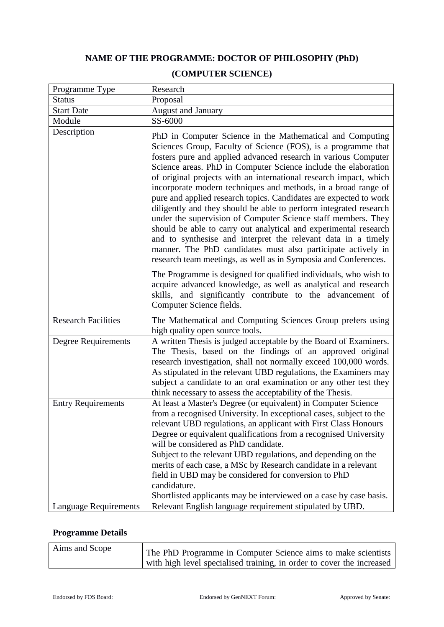## **NAME OF THE PROGRAMME: DOCTOR OF PHILOSOPHY (PhD)**

| Programme Type               | Research                                                                                                                                                                                                                                                                                                                                                                                                                                                                                                                                                                                                                                                                                                                                                                                                                                                                                 |
|------------------------------|------------------------------------------------------------------------------------------------------------------------------------------------------------------------------------------------------------------------------------------------------------------------------------------------------------------------------------------------------------------------------------------------------------------------------------------------------------------------------------------------------------------------------------------------------------------------------------------------------------------------------------------------------------------------------------------------------------------------------------------------------------------------------------------------------------------------------------------------------------------------------------------|
| <b>Status</b>                | Proposal                                                                                                                                                                                                                                                                                                                                                                                                                                                                                                                                                                                                                                                                                                                                                                                                                                                                                 |
| <b>Start Date</b>            | <b>August and January</b>                                                                                                                                                                                                                                                                                                                                                                                                                                                                                                                                                                                                                                                                                                                                                                                                                                                                |
| Module                       | SS-6000                                                                                                                                                                                                                                                                                                                                                                                                                                                                                                                                                                                                                                                                                                                                                                                                                                                                                  |
| Description                  | PhD in Computer Science in the Mathematical and Computing<br>Sciences Group, Faculty of Science (FOS), is a programme that<br>fosters pure and applied advanced research in various Computer<br>Science areas. PhD in Computer Science include the elaboration<br>of original projects with an international research impact, which<br>incorporate modern techniques and methods, in a broad range of<br>pure and applied research topics. Candidates are expected to work<br>diligently and they should be able to perform integrated research<br>under the supervision of Computer Science staff members. They<br>should be able to carry out analytical and experimental research<br>and to synthesise and interpret the relevant data in a timely<br>manner. The PhD candidates must also participate actively in<br>research team meetings, as well as in Symposia and Conferences. |
|                              | The Programme is designed for qualified individuals, who wish to<br>acquire advanced knowledge, as well as analytical and research<br>skills, and significantly contribute to the advancement of<br>Computer Science fields.                                                                                                                                                                                                                                                                                                                                                                                                                                                                                                                                                                                                                                                             |
| <b>Research Facilities</b>   | The Mathematical and Computing Sciences Group prefers using<br>high quality open source tools.                                                                                                                                                                                                                                                                                                                                                                                                                                                                                                                                                                                                                                                                                                                                                                                           |
| Degree Requirements          | A written Thesis is judged acceptable by the Board of Examiners.<br>The Thesis, based on the findings of an approved original<br>research investigation, shall not normally exceed 100,000 words.<br>As stipulated in the relevant UBD regulations, the Examiners may<br>subject a candidate to an oral examination or any other test they<br>think necessary to assess the acceptability of the Thesis.                                                                                                                                                                                                                                                                                                                                                                                                                                                                                 |
| <b>Entry Requirements</b>    | At least a Master's Degree (or equivalent) in Computer Science<br>from a recognised University. In exceptional cases, subject to the<br>relevant UBD regulations, an applicant with First Class Honours<br>Degree or equivalent qualifications from a recognised University<br>will be considered as PhD candidate.<br>Subject to the relevant UBD regulations, and depending on the<br>merits of each case, a MSc by Research candidate in a relevant<br>field in UBD may be considered for conversion to PhD<br>candidature.<br>Shortlisted applicants may be interviewed on a case by case basis.                                                                                                                                                                                                                                                                                     |
| <b>Language Requirements</b> | Relevant English language requirement stipulated by UBD.                                                                                                                                                                                                                                                                                                                                                                                                                                                                                                                                                                                                                                                                                                                                                                                                                                 |

## **(COMPUTER SCIENCE)**

## **Programme Details**

| Aims and Scope | The PhD Programme in Computer Science aims to make scientists         |
|----------------|-----------------------------------------------------------------------|
|                | with high level specialised training, in order to cover the increased |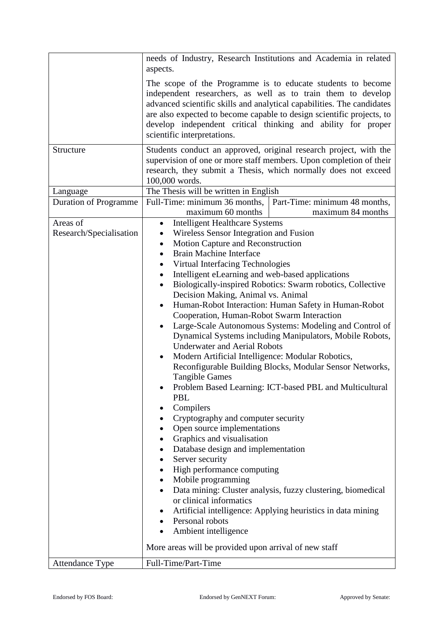|                                     | needs of Industry, Research Institutions and Academia in related<br>aspects.                                                                                                                                                                                                                                                                                                                                                                                                                                                                                                                                                                                                                                                                                                                                                                                                                                                                                                                                                                                                                                                                                                                                                                                                                                                                                                         |  |  |
|-------------------------------------|--------------------------------------------------------------------------------------------------------------------------------------------------------------------------------------------------------------------------------------------------------------------------------------------------------------------------------------------------------------------------------------------------------------------------------------------------------------------------------------------------------------------------------------------------------------------------------------------------------------------------------------------------------------------------------------------------------------------------------------------------------------------------------------------------------------------------------------------------------------------------------------------------------------------------------------------------------------------------------------------------------------------------------------------------------------------------------------------------------------------------------------------------------------------------------------------------------------------------------------------------------------------------------------------------------------------------------------------------------------------------------------|--|--|
|                                     | The scope of the Programme is to educate students to become<br>independent researchers, as well as to train them to develop<br>advanced scientific skills and analytical capabilities. The candidates<br>are also expected to become capable to design scientific projects, to<br>develop independent critical thinking and ability for proper<br>scientific interpretations.                                                                                                                                                                                                                                                                                                                                                                                                                                                                                                                                                                                                                                                                                                                                                                                                                                                                                                                                                                                                        |  |  |
| Structure                           | Students conduct an approved, original research project, with the<br>supervision of one or more staff members. Upon completion of their<br>research, they submit a Thesis, which normally does not exceed<br>100,000 words.                                                                                                                                                                                                                                                                                                                                                                                                                                                                                                                                                                                                                                                                                                                                                                                                                                                                                                                                                                                                                                                                                                                                                          |  |  |
| Language                            | The Thesis will be written in English                                                                                                                                                                                                                                                                                                                                                                                                                                                                                                                                                                                                                                                                                                                                                                                                                                                                                                                                                                                                                                                                                                                                                                                                                                                                                                                                                |  |  |
| <b>Duration of Programme</b>        | Part-Time: minimum 48 months,<br>Full-Time: minimum 36 months,<br>maximum 60 months<br>maximum 84 months                                                                                                                                                                                                                                                                                                                                                                                                                                                                                                                                                                                                                                                                                                                                                                                                                                                                                                                                                                                                                                                                                                                                                                                                                                                                             |  |  |
| Areas of<br>Research/Specialisation | <b>Intelligent Healthcare Systems</b><br>٠<br>Wireless Sensor Integration and Fusion<br>٠<br>Motion Capture and Reconstruction<br>$\bullet$<br>Brain Machine Interface<br>$\bullet$<br>Virtual Interfacing Technologies<br>Intelligent eLearning and web-based applications<br>Biologically-inspired Robotics: Swarm robotics, Collective<br>$\bullet$<br>Decision Making, Animal vs. Animal<br>Human-Robot Interaction: Human Safety in Human-Robot<br>$\bullet$<br>Cooperation, Human-Robot Swarm Interaction<br>Large-Scale Autonomous Systems: Modeling and Control of<br>٠<br>Dynamical Systems including Manipulators, Mobile Robots,<br><b>Underwater and Aerial Robots</b><br>Modern Artificial Intelligence: Modular Robotics,<br>٠<br>Reconfigurable Building Blocks, Modular Sensor Networks,<br><b>Tangible Games</b><br>Problem Based Learning: ICT-based PBL and Multicultural<br><b>PBL</b><br>Compilers<br>٠<br>Cryptography and computer security<br>Open source implementations<br>Graphics and visualisation<br>$\bullet$<br>Database design and implementation<br>٠<br>Server security<br>٠<br>High performance computing<br>$\bullet$<br>Mobile programming<br>Data mining: Cluster analysis, fuzzy clustering, biomedical<br>or clinical informatics<br>Artificial intelligence: Applying heuristics in data mining<br>Personal robots<br>Ambient intelligence |  |  |
|                                     | More areas will be provided upon arrival of new staff                                                                                                                                                                                                                                                                                                                                                                                                                                                                                                                                                                                                                                                                                                                                                                                                                                                                                                                                                                                                                                                                                                                                                                                                                                                                                                                                |  |  |
| Attendance Type                     | Full-Time/Part-Time                                                                                                                                                                                                                                                                                                                                                                                                                                                                                                                                                                                                                                                                                                                                                                                                                                                                                                                                                                                                                                                                                                                                                                                                                                                                                                                                                                  |  |  |